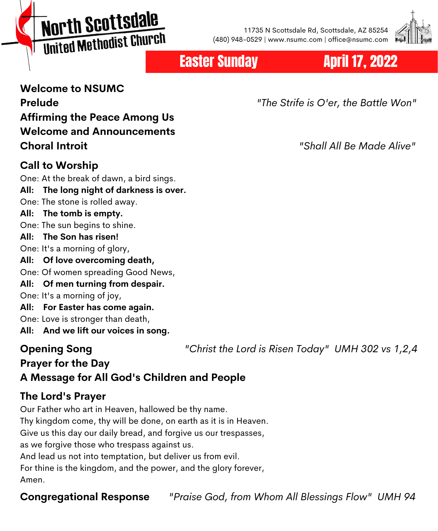# North Scottsdale United Methodist Church

11735 N Scottsdale Rd, Scottsdale, AZ 85254 (480) 948-0529 | www.nsumc.com | office@nsumc.com



## Easter Sunday April 17, 2022

## **Welcome to NSUMC Affirming the Peace Among Us Welcome and Announcements Choral Introit** *"Shall All Be Made Alive"*

#### **Call to Worship**

One: At the break of dawn, a bird sings.

- **All: The long night of darkness is over.**
- One: The stone is rolled away.

#### **All: The tomb is empty.**

One: The sun begins to shine.

**All: The Son has risen!**

One: It's a morning of glory,

- **All: Of love overcoming death,**
- One: Of women spreading Good News,
- **All: Of men turning from despair.**
- One: It's a morning of joy,
- **All: For Easter has come again.**
- One: Love is stronger than death,
- **All: And we lift our voices in song.**

### **Opening Song** *"Christ the Lord is Risen Today" UMH 302 vs 1,2,4*

## **Prayer for the Day A Message for All God's Children and People**

### **The Lord's Prayer**

Our Father who art in Heaven, hallowed be thy name. Thy kingdom come, thy will be done, on earth as it is in Heaven. Give us this day our daily bread, and forgive us our trespasses, as we forgive those who trespass against us. And lead us not into temptation, but deliver us from evil. For thine is the kingdom, and the power, and the glory forever, Amen.

**Congregational Response** *"Praise God, from Whom All Blessings Flow" UMH 94*

**Prelude** *"The Strife is O'er, the Battle Won"*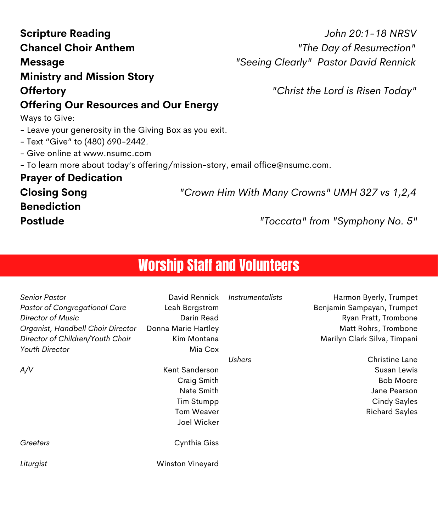| Giosing Song<br><b>Benediction</b><br><b>Postlude</b>                                                                                                                               |                                                                                                                                                                                                 |                            | Crown milli With Marry Crowns UNIN 027 VS 1,2,4<br>"Toccata" from "Symphony No. 5"                                                                                                                                                                 |  |  |
|-------------------------------------------------------------------------------------------------------------------------------------------------------------------------------------|-------------------------------------------------------------------------------------------------------------------------------------------------------------------------------------------------|----------------------------|----------------------------------------------------------------------------------------------------------------------------------------------------------------------------------------------------------------------------------------------------|--|--|
| <b>Worship Staff and Volunteers</b>                                                                                                                                                 |                                                                                                                                                                                                 |                            |                                                                                                                                                                                                                                                    |  |  |
| <b>Senior Pastor</b><br><b>Pastor of Congregational Care</b><br>Director of Music<br>Organist, Handbell Choir Director<br>Director of Children/Youth Choir<br>Youth Director<br>A/V | David Rennick<br>Leah Bergstrom<br>Darin Read<br>Donna Marie Hartley<br>Kim Montana<br>Mia Cox<br>Kent Sanderson<br>Craig Smith<br>Nate Smith<br><b>Tim Stumpp</b><br>Tom Weaver<br>Joel Wicker | Instrumentalists<br>Ushers | Harmon Byerly, Trumpet<br>Benjamin Sampayan, Trumpet<br>Ryan Pratt, Trombone<br>Matt Rohrs, Trombone<br>Marilyn Clark Silva, Timpani<br>Christine Lane<br>Susan Lewis<br><b>Bob Moore</b><br>Jane Pearson<br>Cindy Sayles<br><b>Richard Sayles</b> |  |  |
| Greeters                                                                                                                                                                            | Cynthia Giss                                                                                                                                                                                    |                            |                                                                                                                                                                                                                                                    |  |  |
| Liturgist                                                                                                                                                                           | Winston Vineyard                                                                                                                                                                                |                            |                                                                                                                                                                                                                                                    |  |  |

## **Offering Our Resources and Our Energy**

Ways to Give:

- Leave your generosity in the Giving Box as you exit.
- Text "Give" to (480) 690-2442.
- Give online at www.nsumc.com
- To learn more about today's offering/mission-story, email office@nsumc.com.

**Prayer of Dedication**

**Closing Song** *"Crown Him With Many Crowns" UMH 327 vs 1,2,4*

**Scripture Reading** *John 20:1-18 NRSV* **Chancel Choir Anthem** *"The Day of Resurrection"* **Message** *"Seeing Clearly" Pastor David Rennick*

### **Ministry and Mission Story**

**Offertory** *"Christ the Lord is Risen Today"*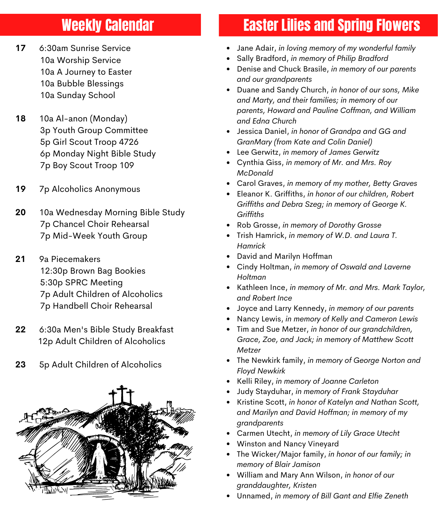## Weekly Calendar

- **17** 6:30am Sunrise Service 10a Worship Service 10a A Journey to Easter 10a Bubble Blessings 10a Sunday School
- **18** 10a Al-anon (Monday) 3p Youth Group Committee 5p Girl Scout Troop 4726 6p Monday Night Bible Study 7p Boy Scout Troop 109
- **19** 7p Alcoholics Anonymous
- **20** 10a Wednesday Morning Bible Study 7p Chancel Choir Rehearsal 7p Mid-Week Youth Group
- **21** 9a Piecemakers 12:30p Brown Bag Bookies 5:30p SPRC Meeting 7p Adult Children of Alcoholics 7p Handbell Choir Rehearsal
- **22** 6:30a Men's Bible Study Breakfast 12p Adult Children of Alcoholics
- **23** 5p Adult Children of Alcoholics



## Easter Lilies and Spring Flowers

- Jane Adair, *in loving memory of my wonderful family*
- Sally Bradford, *in memory of Philip Bradford*
- Denise and Chuck Brasile, *in memory of our parents and our grandparents*
- Duane and Sandy Church, *in honor of our sons, Mike and Marty, and their families; in memory of our parents, Howard and Pauline Coffman, and William and Edna Church*
- Jessica Daniel, *in honor of Grandpa and GG and GranMary (from Kate and Colin Daniel)*
- Lee Gerwitz, *in memory of James Gerwitz*
- Cynthia Giss, *in memory of Mr. and Mrs. Roy McDonald*
- Carol Graves, *in memory of my mother, Betty Graves*
- Eleanor K. Griffiths, *in honor of our children, Robert Griffiths and Debra Szeg; in memory of George K. Griffiths*
- Rob Grosse, *in memory of Dorothy Grosse*
- Trish Hamrick, *in memory of W.D. and Laura T. Hamrick*
- David and Marilyn Hoffman
- Cindy Holtman, *in memory of Oswald and Laverne Holtman*
- Kathleen Ince, *in memory of Mr. and Mrs. Mark Taylor, and Robert Ince*
- Joyce and Larry Kennedy, *in memory of our parents*
- Nancy Lewis, *in memory of Kelly and Cameron Lewis*
- Tim and Sue Metzer, *in honor of our grandchildren, Grace, Zoe, and Jack; in memory of Matthew Scott Metzer*
- The Newkirk family, *in memory of George Norton and Floyd Newkirk*
- Kelli Riley, *in memory of Joanne Carleton*
- Judy Stayduhar, *in memory of Frank Stayduhar*
- Kristine Scott, *in honor of Katelyn and Nathan Scott, and Marilyn and David Hoffman; in memory of my grandparents*
- Carmen Utecht, *in memory of Lily Grace Utecht*
- Winston and Nancy Vineyard
- The Wicker/Major family, *in honor of our family; in memory of Blair Jamison*
- William and Mary Ann Wilson, *in honor of our granddaughter, Kristen*
- Unnamed, *in memory of Bill Gant and Elfie Zeneth*